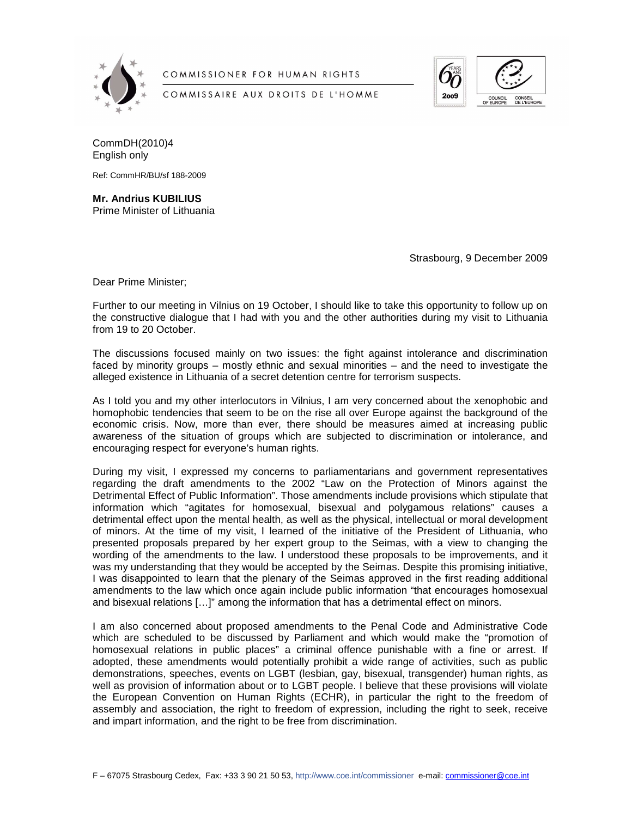

COMMISSIONER FOR HUMAN RIGHTS

COMMISSAIRE AUX DROITS DE L'HOMME



CommDH(2010)4 English only

Ref: CommHR/BU/sf 188-2009

**Mr. Andrius KUBILIUS**  Prime Minister of Lithuania

Strasbourg, 9 December 2009

Dear Prime Minister;

Further to our meeting in Vilnius on 19 October, I should like to take this opportunity to follow up on the constructive dialogue that I had with you and the other authorities during my visit to Lithuania from 19 to 20 October.

The discussions focused mainly on two issues: the fight against intolerance and discrimination faced by minority groups – mostly ethnic and sexual minorities – and the need to investigate the alleged existence in Lithuania of a secret detention centre for terrorism suspects.

As I told you and my other interlocutors in Vilnius, I am very concerned about the xenophobic and homophobic tendencies that seem to be on the rise all over Europe against the background of the economic crisis. Now, more than ever, there should be measures aimed at increasing public awareness of the situation of groups which are subjected to discrimination or intolerance, and encouraging respect for everyone's human rights.

During my visit, I expressed my concerns to parliamentarians and government representatives regarding the draft amendments to the 2002 "Law on the Protection of Minors against the Detrimental Effect of Public Information". Those amendments include provisions which stipulate that information which "agitates for homosexual, bisexual and polygamous relations" causes a detrimental effect upon the mental health, as well as the physical, intellectual or moral development of minors. At the time of my visit, I learned of the initiative of the President of Lithuania, who presented proposals prepared by her expert group to the Seimas, with a view to changing the wording of the amendments to the law. I understood these proposals to be improvements, and it was my understanding that they would be accepted by the Seimas. Despite this promising initiative, I was disappointed to learn that the plenary of the Seimas approved in the first reading additional amendments to the law which once again include public information "that encourages homosexual and bisexual relations […]" among the information that has a detrimental effect on minors.

I am also concerned about proposed amendments to the Penal Code and Administrative Code which are scheduled to be discussed by Parliament and which would make the "promotion of homosexual relations in public places" a criminal offence punishable with a fine or arrest. If adopted, these amendments would potentially prohibit a wide range of activities, such as public demonstrations, speeches, events on LGBT (lesbian, gay, bisexual, transgender) human rights, as well as provision of information about or to LGBT people. I believe that these provisions will violate the European Convention on Human Rights (ECHR), in particular the right to the freedom of assembly and association, the right to freedom of expression, including the right to seek, receive and impart information, and the right to be free from discrimination.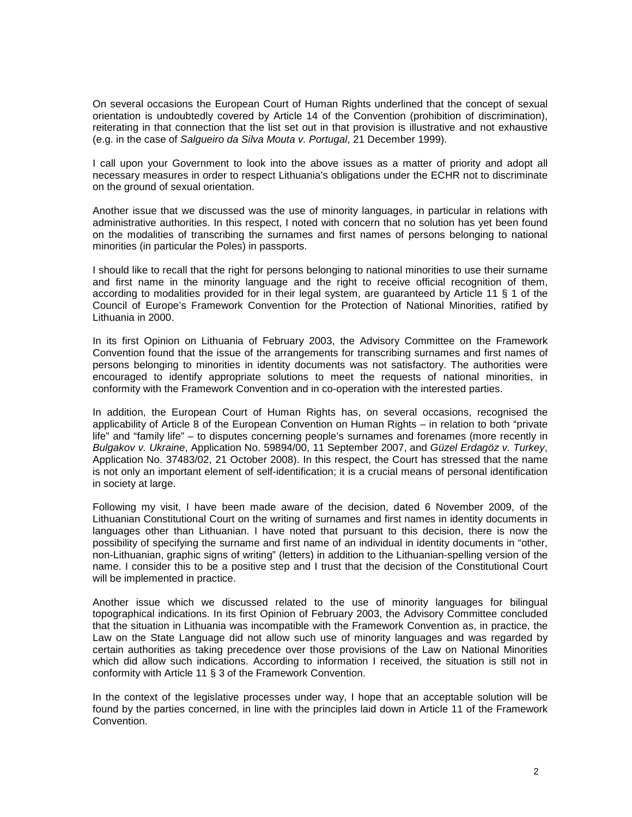On several occasions the European Court of Human Rights underlined that the concept of sexual orientation is undoubtedly covered by Article 14 of the Convention (prohibition of discrimination), reiterating in that connection that the list set out in that provision is illustrative and not exhaustive (e.g. in the case of Salgueiro da Silva Mouta v. Portugal, 21 December 1999).

I call upon your Government to look into the above issues as a matter of priority and adopt all necessary measures in order to respect Lithuania's obligations under the ECHR not to discriminate on the ground of sexual orientation.

Another issue that we discussed was the use of minority languages, in particular in relations with administrative authorities. In this respect, I noted with concern that no solution has yet been found on the modalities of transcribing the surnames and first names of persons belonging to national minorities (in particular the Poles) in passports.

I should like to recall that the right for persons belonging to national minorities to use their surname and first name in the minority language and the right to receive official recognition of them, according to modalities provided for in their legal system, are guaranteed by Article 11 § 1 of the Council of Europe's Framework Convention for the Protection of National Minorities, ratified by Lithuania in 2000.

In its first Opinion on Lithuania of February 2003, the Advisory Committee on the Framework Convention found that the issue of the arrangements for transcribing surnames and first names of persons belonging to minorities in identity documents was not satisfactory. The authorities were encouraged to identify appropriate solutions to meet the requests of national minorities, in conformity with the Framework Convention and in co-operation with the interested parties.

In addition, the European Court of Human Rights has, on several occasions, recognised the applicability of Article 8 of the European Convention on Human Rights – in relation to both "private life" and "family life" – to disputes concerning people's surnames and forenames (more recently in Bulgakov v. Ukraine, Application No. 59894/00, 11 September 2007, and Güzel Erdagöz v. Turkey, Application No. 37483/02, 21 October 2008). In this respect, the Court has stressed that the name is not only an important element of self-identification; it is a crucial means of personal identification in society at large.

Following my visit, I have been made aware of the decision, dated 6 November 2009, of the Lithuanian Constitutional Court on the writing of surnames and first names in identity documents in languages other than Lithuanian. I have noted that pursuant to this decision, there is now the possibility of specifying the surname and first name of an individual in identity documents in "other, non-Lithuanian, graphic signs of writing" (letters) in addition to the Lithuanian-spelling version of the name. I consider this to be a positive step and I trust that the decision of the Constitutional Court will be implemented in practice.

Another issue which we discussed related to the use of minority languages for bilingual topographical indications. In its first Opinion of February 2003, the Advisory Committee concluded that the situation in Lithuania was incompatible with the Framework Convention as, in practice, the Law on the State Language did not allow such use of minority languages and was regarded by certain authorities as taking precedence over those provisions of the Law on National Minorities which did allow such indications. According to information I received, the situation is still not in conformity with Article 11 § 3 of the Framework Convention.

In the context of the legislative processes under way, I hope that an acceptable solution will be found by the parties concerned, in line with the principles laid down in Article 11 of the Framework Convention.